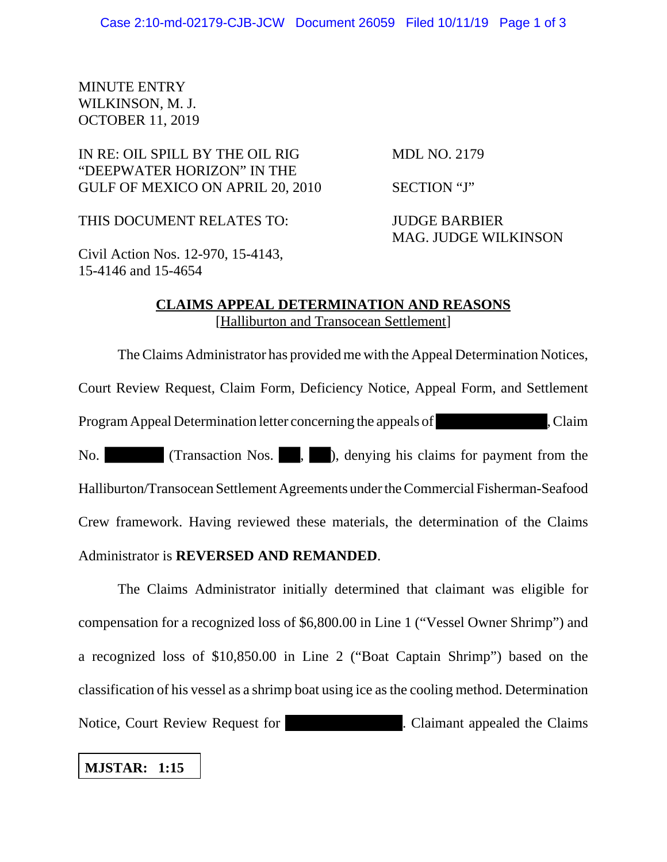## MINUTE ENTRY WILKINSON, M. J. OCTOBER 11, 2019

# IN RE: OIL SPILL BY THE OIL RIG MDL NO. 2179 "DEEPWATER HORIZON" IN THE GULF OF MEXICO ON APRIL 20, 2010 SECTION "J"

THIS DOCUMENT RELATES TO: JUDGE BARBIER

MAG. JUDGE WILKINSON

Civil Action Nos. 12-970, 15-4143, 15-4146 and 15-4654

### **CLAIMS APPEAL DETERMINATION AND REASONS** [Halliburton and Transocean Settlement]

The Claims Administrator has provided me with the Appeal Determination Notices, Court Review Request, Claim Form, Deficiency Notice, Appeal Form, and Settlement Program Appeal Determination letter concerning the appeals of , Claim No. (Transaction Nos., ), denying his claims for payment from the Halliburton/Transocean Settlement Agreements under the Commercial Fisherman-Seafood Crew framework. Having reviewed these materials, the determination of the Claims Administrator is **REVERSED AND REMANDED**.

The Claims Administrator initially determined that claimant was eligible for compensation for a recognized loss of \$6,800.00 in Line 1 ("Vessel Owner Shrimp") and a recognized loss of \$10,850.00 in Line 2 ("Boat Captain Shrimp") based on the classification of his vessel as a shrimp boat using ice as the cooling method. Determination Notice, Court Review Request for **Example 2.** Claimant appealed the Claims

# **MJSTAR: 1:15**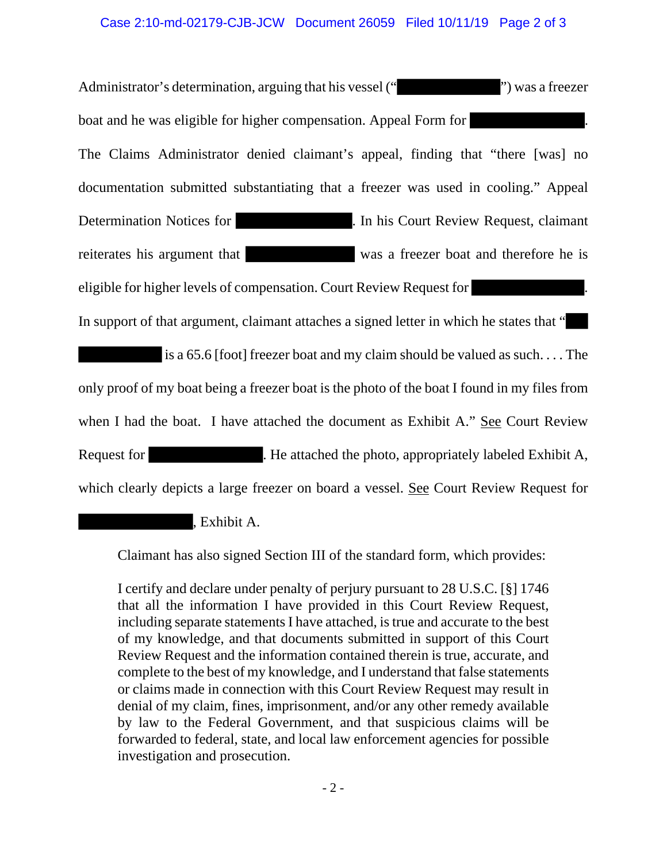#### Case 2:10-md-02179-CJB-JCW Document 26059 Filed 10/11/19 Page 2 of 3

Administrator's determination, arguing that his vessel ("
">
") was a freezer boat and he was eligible for higher compensation. Appeal Form for The Claims Administrator denied claimant's appeal, finding that "there [was] no documentation submitted substantiating that a freezer was used in cooling." Appeal Determination Notices for . In his Court Review Request, claimant reiterates his argument that was a freezer boat and therefore he is eligible for higher levels of compensation. Court Review Request for . In support of that argument, claimant attaches a signed letter in which he states that "

 is a 65.6 [foot] freezer boat and my claim should be valued as such. . . . The only proof of my boat being a freezer boat is the photo of the boat I found in my files from when I had the boat. I have attached the document as Exhibit A." See Court Review Request for . He attached the photo, appropriately labeled Exhibit A, which clearly depicts a large freezer on board a vessel. See Court Review Request for

, Exhibit A.

Claimant has also signed Section III of the standard form, which provides:

I certify and declare under penalty of perjury pursuant to 28 U.S.C. [§] 1746 that all the information I have provided in this Court Review Request, including separate statements I have attached, is true and accurate to the best of my knowledge, and that documents submitted in support of this Court Review Request and the information contained therein is true, accurate, and complete to the best of my knowledge, and I understand that false statements or claims made in connection with this Court Review Request may result in denial of my claim, fines, imprisonment, and/or any other remedy available by law to the Federal Government, and that suspicious claims will be forwarded to federal, state, and local law enforcement agencies for possible investigation and prosecution.